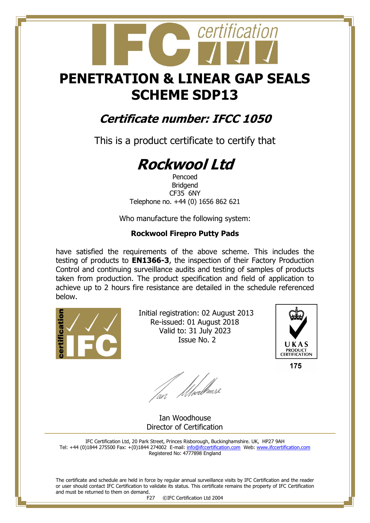## **PENETRATION & LINEAR GAP SEALS SCHEME SDP13**

certification

### **Certificate number: IFCC 1050**

This is a product certificate to certify that

# **Rockwool Ltd**

Pencoed Bridgend CF35 6NY Telephone no. +44 (0) 1656 862 621

Who manufacture the following system:

#### **Rockwool Firepro Putty Pads**

have satisfied the requirements of the above scheme. This includes the testing of products to **EN1366-3**, the inspection of their Factory Production Control and continuing surveillance audits and testing of samples of products taken from production. The product specification and field of application to achieve up to 2 hours fire resistance are detailed in the schedule referenced below.



 Initial registration: 02 August 2013 Re-issued: 01 August 2018 Valid to: 31 July 2023 Issue No. 2



175

fan Moedhouse

 Ian Woodhouse Director of Certification

IFC Certification Ltd, 20 Park Street, Princes Risborough, Buckinghamshire. UK, HP27 9AH Tel: +44 (0)1844 275500 Fax: +(0)1844 274002 E-mail[: info@ifccertification.com](mailto:info@ifccertification.com) Web: [www.ifccertification.com](http://www.ifccertification.com/) Registered No: 4777898 England

The certificate and schedule are held in force by regular annual surveillance visits by IFC Certification and the reader or user should contact IFC Certification to validate its status. This certificate remains the property of IFC Certification and must be returned to them on demand.